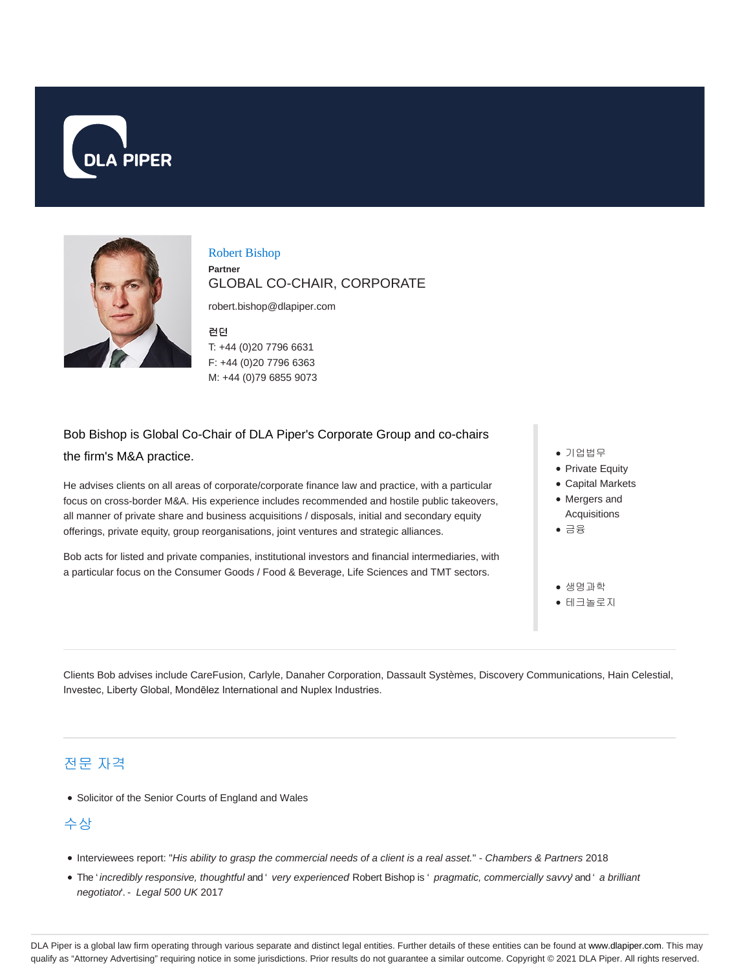



Robert Bishop **Partner** GLOBAL CO-CHAIR, CORPORATE

robert.bishop@dlapiper.com

런던 T: +44 (0)20 7796 6631 F: +44 (0)20 7796 6363 M: +44 (0)79 6855 9073

## Bob Bishop is Global Co-Chair of DLA Piper's Corporate Group and co-chairs the firm's M&A practice.

He advises clients on all areas of corporate/corporate finance law and practice, with a particular focus on cross-border M&A. His experience includes recommended and hostile public takeovers, all manner of private share and business acquisitions / disposals, initial and secondary equity offerings, private equity, group reorganisations, joint ventures and strategic alliances.

Bob acts for listed and private companies, institutional investors and financial intermediaries, with a particular focus on the Consumer Goods / Food & Beverage, Life Sciences and TMT sectors.

- 기업법무
- Private Equity
- Capital Markets
- Mergers and Acquisitions
- 금융
- 생명과학
- 테크놀로지

Clients Bob advises include CareFusion, Carlyle, Danaher Corporation, Dassault Systèmes, Discovery Communications, Hain Celestial, Investec, Liberty Global, Mondēlez International and Nuplex Industries.

## 전문 자격

• Solicitor of the Senior Courts of England and Wales

## 수상

- Interviewees report: "His ability to grasp the commercial needs of a client is a real asset." Chambers & Partners 2018
- . The ' incredibly responsive, thoughtful and ' very experienced Robert Bishop is ' pragmatic, commercially savvy' and ' a brilliant negotiator. - Legal 500 UK 2017

DLA Piper is a global law firm operating through various separate and distinct legal entities. Further details of these entities can be found at www.dlapiper.com. This may qualify as "Attorney Advertising" requiring notice in some jurisdictions. Prior results do not guarantee a similar outcome. Copyright @ 2021 DLA Piper. All rights reserved.